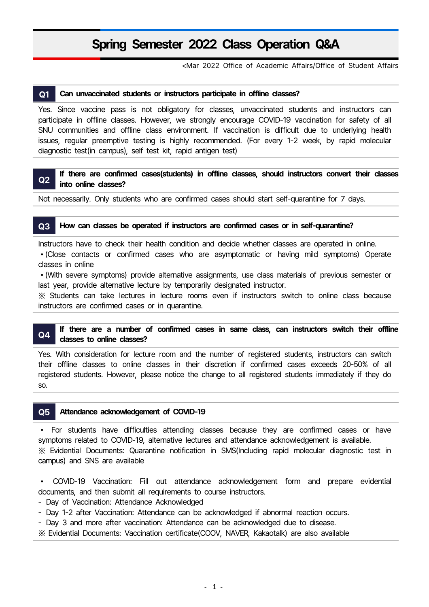### **Spring Semester 2022 Class Operation Q㊵A**

㎈Mar 2022 Office of Academic Affairs/Office of Student Affairs

#### **Q1 Can unvaccinated students or instructors participate in offline classes?**

Yes. Since vaccine pass is not obligatory for classes, unvaccinated students and instructors can participate in offline classes. However, we strongly encourage COVID-19 vaccination for safety of all SNU communities and off

## **If there are confirmed cases(students) in offline classes, should instructors convert their classes**<br>Q2 into online classes?

Not necessarily. Only students who are confirmed cases should start self-quarantine for 7 days.

#### **Q3 How can classes be operated if instructors are confirmed cases or in self-quarantine?**

Instructors have to check their health condition and decide whether classes are operated in online.

• (Close contacts or confirmed cases who are asymptomatic or having mild symptoms) Operate classes in online

<sup>∙</sup>㉉With severe symptoms㉊ provide alternative assignments, use class materials of previous semester or last year, provide alternative lecture by temporarily designated instructor.

※ Students can take lectures in lecture rooms even if instructors switch to online class because instructors are confirmed cases or in quarantine.

## **Q4** If there are a number of confirmed cases in same class, can instructors switch their offline classes to online classes?

Yes. With consideration for lecture room and the number of registered students, instructors can switch their offline classes to online classes in their discretion if confirmed cases exceeds 20-50% of all registered students. However, please notice the change to all registered students immediately if they do so.

#### **Q5** Attendance acknowledgement of COVID-19

• For students have difficulties attending classes because they are confirmed cases or have symptoms related to COVID-19, alternative lectures and attendance acknowledgement is available. ※ Evidential Documents: Quarantine notification in SMS(Including rapid molecular diagnostic test in campus) and SNS are available

<sup>∙</sup> COVID㈸19 Vaccination: Fill out attendance acknowledgement form and prepare evidential documents, and then submit all requirements to course instructors.

- Day of Vaccination: Attendance Acknowledged
- Day 1-2 after Vaccination: Attendance can be acknowledged if abnormal reaction occurs.
- Day 3 and more after vaccination: Attendance can be acknowledged due to disease.
- ※ Evidential Documents: Vaccination certificate(COOV, NAVER, Kakaotalk) are also available